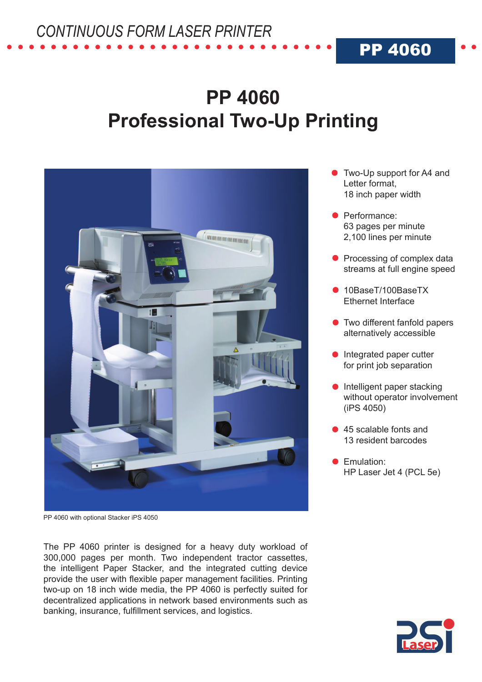## **PP 4060 Professional Two-Up Printing**



PP 4060 with optional Stacker iPS 4050

The PP 4060 printer is designed for a heavy duty workload of 300,000 pages per month. Two independent tractor cassettes, the intelligent Paper Stacker, and the integrated cutting device provide the user with flexible paper management facilities. Printing two-up on 18 inch wide media, the PP 4060 is perfectly suited for decentralized applications in network based environments such as banking, insurance, fulfillment services, and logistics.

Two-Up support for A4 and Letter format, 18 inch paper width

PP 4060

- **•** Performance: 63 pages per minute 2,100 lines per minute
- Processing of complex data streams at full engine speed
- 10BaseT/100BaseTX Ethernet Interface
- **Two different fanfold papers** alternatively accessible
- **Integrated paper cutter** for print job separation
- $\bullet$  Intelligent paper stacking without operator involvement (iPS 4050)
- 45 scalable fonts and 13 resident barcodes
- **Emulation:** HP Laser Jet 4 (PCL 5e)